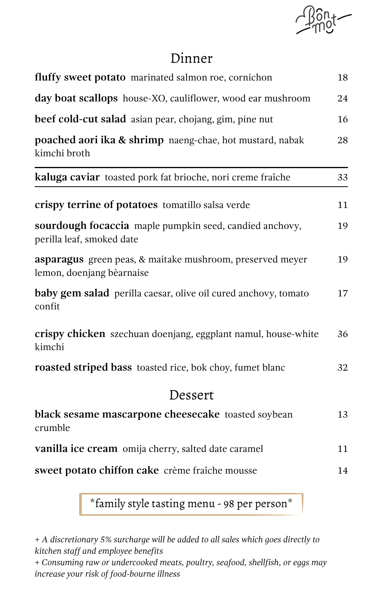

## Dinner

| fluffy sweet potato marinated salmon roe, cornichon                                    |    |  |
|----------------------------------------------------------------------------------------|----|--|
| day boat scallops house-XO, cauliflower, wood ear mushroom                             |    |  |
| beef cold-cut salad asian pear, chojang, gim, pine nut                                 | 16 |  |
| poached aori ika & shrimp naeng-chae, hot mustard, nabak<br>kimchi broth               | 28 |  |
| kaluga caviar toasted pork fat brioche, nori creme fraîche                             | 33 |  |
| crispy terrine of potatoes tomatillo salsa verde                                       | 11 |  |
| sourdough focaccia maple pumpkin seed, candied anchovy,<br>perilla leaf, smoked date   | 19 |  |
| asparagus green peas, & maitake mushroom, preserved meyer<br>lemon, doenjang bèarnaise | 19 |  |
| baby gem salad perilla caesar, olive oil cured anchovy, tomato<br>confit               | 17 |  |
| crispy chicken szechuan doenjang, eggplant namul, house-white<br>kimchi                | 36 |  |
| roasted striped bass toasted rice, bok choy, fumet blanc                               | 32 |  |
| Dessert                                                                                |    |  |
| black sesame mascarpone cheesecake toasted soybean<br>crumble                          | 13 |  |
| vanilla ice cream omija cherry, salted date caramel                                    | 11 |  |
| sweet potato chiffon cake crème fraîche mousse                                         | 14 |  |

\*family style tasting menu - 98 per person\*

*+ A discretionary 5% surcharge will be added to all sales which goes directly to kitchen staff and employee benefits*

*+ Consuming raw or undercooked meats, poultry, seafood, shellfish, or eggs may increase your risk of food-bourne illness*